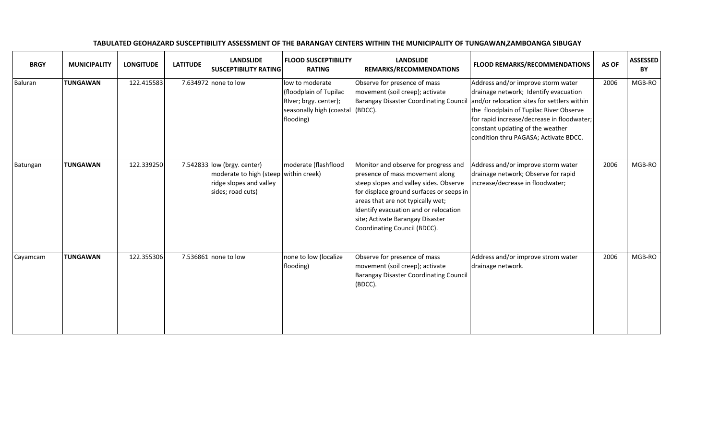| <b>BRGY</b> | <b>MUNICIPALITY</b> | <b>LONGITUDE</b> | <b>LATITUDE</b> | <b>LANDSLIDE</b><br><b>SUSCEPTIBILITY RATING</b>                                                                        | <b>FLOOD SUSCEPTIBILITY</b><br><b>RATING</b>                                                                        | <b>LANDSLIDE</b><br>REMARKS/RECOMMENDATIONS                                                                                                                                                                                                                                                                     | <b>FLOOD REMARKS/RECOMMENDATIONS</b>                                                                                                                                                                                                                                                             | AS OF | <b>ASSESSED</b><br><b>BY</b> |
|-------------|---------------------|------------------|-----------------|-------------------------------------------------------------------------------------------------------------------------|---------------------------------------------------------------------------------------------------------------------|-----------------------------------------------------------------------------------------------------------------------------------------------------------------------------------------------------------------------------------------------------------------------------------------------------------------|--------------------------------------------------------------------------------------------------------------------------------------------------------------------------------------------------------------------------------------------------------------------------------------------------|-------|------------------------------|
| Baluran     | <b>TUNGAWAN</b>     | 122.415583       |                 | 7.634972 none to low                                                                                                    | low to moderate<br>(floodplain of Tupilac<br>RIver; brgy. center);<br>seasonally high (coastal (BDCC).<br>flooding) | Observe for presence of mass<br>movement (soil creep); activate<br><b>Barangay Disaster Coordinating Council</b>                                                                                                                                                                                                | Address and/or improve storm water<br>drainage network; Identify evacuation<br>and/or relocation sites for settlers within<br>the floodplain of Tupilac River Observe<br>for rapid increase/decrease in floodwater;<br>constant updating of the weather<br>condition thru PAGASA; Activate BDCC. | 2006  | MGB-RO                       |
| Batungan    | <b>TUNGAWAN</b>     | 122.339250       |                 | 7.542833 $ low (brgy. center)$<br>moderate to high (steep within creek)<br>ridge slopes and valley<br>sides; road cuts) | moderate (flashflood                                                                                                | Monitor and observe for progress and<br>presence of mass movement along<br>steep slopes and valley sides. Observe<br>for displace ground surfaces or seeps in<br>areas that are not typically wet;<br>Identify evacuation and or relocation<br>site; Activate Barangay Disaster<br>Coordinating Council (BDCC). | Address and/or improve storm water<br>drainage network; Observe for rapid<br>increase/decrease in floodwater;                                                                                                                                                                                    | 2006  | MGB-RO                       |
| Cayamcam    | <b>TUNGAWAN</b>     | 122.355306       |                 | 7.536861 none to low                                                                                                    | none to low (localize<br>flooding)                                                                                  | Observe for presence of mass<br>movement (soil creep); activate<br><b>Barangay Disaster Coordinating Council</b><br>(BDCC).                                                                                                                                                                                     | Address and/or improve strom water<br>drainage network.                                                                                                                                                                                                                                          | 2006  | MGB-RO                       |

TABULATED GEOHAZARD SUSCEPTIBILITY ASSESSMENT OF THE BARANGAY CENTERS WITHIN THE MUNICIPALITY OF TUNGAWAN, ZAMBOANGA SIBUGAY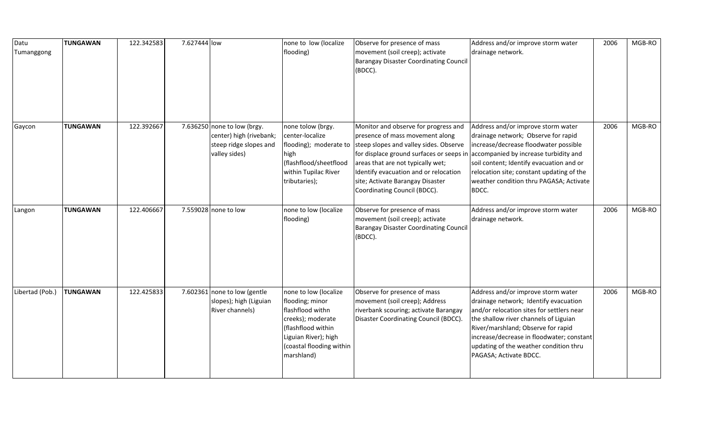| Datu<br>Tumanggong | <b>TUNGAWAN</b> | 122.342583 | 7.627444 low |                                                                                                   | none to low (localize<br>flooding)                                                                                                                                        | Observe for presence of mass<br>movement (soil creep); activate<br>Barangay Disaster Coordinating Council<br>(BDCC).                                                                                                                                                                                                                   | Address and/or improve storm water<br>drainage network.                                                                                                                                                                                                                                                                  | 2006 | MGB-RO |
|--------------------|-----------------|------------|--------------|---------------------------------------------------------------------------------------------------|---------------------------------------------------------------------------------------------------------------------------------------------------------------------------|----------------------------------------------------------------------------------------------------------------------------------------------------------------------------------------------------------------------------------------------------------------------------------------------------------------------------------------|--------------------------------------------------------------------------------------------------------------------------------------------------------------------------------------------------------------------------------------------------------------------------------------------------------------------------|------|--------|
| Gaycon             | <b>TUNGAWAN</b> | 122.392667 |              | 7.636250 none to low (brgy.<br>center) high (rivebank;<br>steep ridge slopes and<br>valley sides) | none tolow (brgy.<br>center-localize<br>high<br>(flashflood/sheetflood<br>within Tupilac River<br>tributaries);                                                           | Monitor and observe for progress and<br>presence of mass movement along<br>flooding); moderate to steep slopes and valley sides. Observe<br>for displace ground surfaces or seeps in<br>areas that are not typically wet;<br>Identify evacuation and or relocation<br>site; Activate Barangay Disaster<br>Coordinating Council (BDCC). | Address and/or improve storm water<br>drainage network; Observe for rapid<br>increase/decrease floodwater possible<br>accompanied by increase turbidity and<br>soil content; Identify evacuation and or<br>relocation site; constant updating of the<br>weather condition thru PAGASA; Activate<br>BDCC.                 | 2006 | MGB-RO |
| Langon             | <b>TUNGAWAN</b> | 122.406667 |              | 7.559028 none to low                                                                              | none to low (localize<br>flooding)                                                                                                                                        | Observe for presence of mass<br>movement (soil creep); activate<br><b>Barangay Disaster Coordinating Council</b><br>(BDCC).                                                                                                                                                                                                            | Address and/or improve storm water<br>drainage network.                                                                                                                                                                                                                                                                  | 2006 | MGB-RO |
| Libertad (Pob.)    | <b>TUNGAWAN</b> | 122.425833 |              | 7.602361 none to low (gentle<br>slopes); high (Liguian<br>River channels)                         | none to low (localize<br>flooding; minor<br>flashflood withn<br>creeks); moderate<br>(flashflood within<br>Liguian River); high<br>(coastal flooding within<br>marshland) | Observe for presence of mass<br>movement (soil creep); Address<br>riverbank scouring; activate Barangay<br>Disaster Coordinating Council (BDCC).                                                                                                                                                                                       | Address and/or improve storm water<br>drainage network; Identify evacuation<br>and/or relocation sites for settlers near<br>the shallow river channels of Liguian<br>River/marshland; Observe for rapid<br>increase/decrease in floodwater; constant<br>updating of the weather condition thru<br>PAGASA; Activate BDCC. | 2006 | MGB-RO |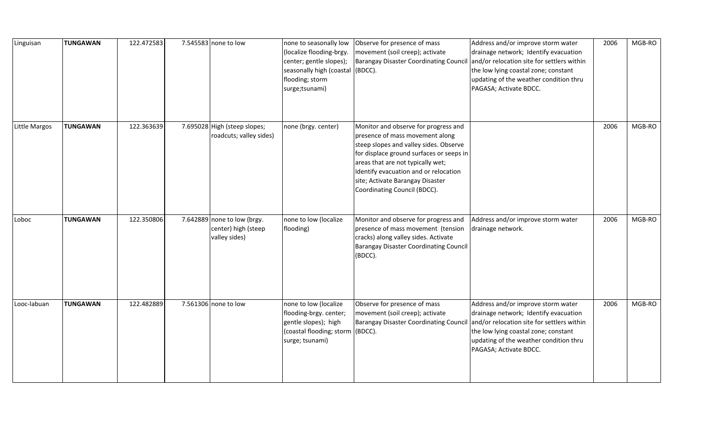| Linguisan     | <b>TUNGAWAN</b> | 122.472583 | 7.545583 none to low                                                | none to seasonally low<br>(localize flooding-brgy.<br>center; gentle slopes);<br>seasonally high (coastal<br>flooding; storm<br>surge;tsunami) | Observe for presence of mass<br>movement (soil creep); activate<br>Barangay Disaster Coordinating Council<br>(BDCC).                                                                                                                                                                                            | Address and/or improve storm water<br>drainage network; Identify evacuation<br>and/or relocation site for settlers within<br>the low lying coastal zone; constant<br>updating of the weather condition thru<br>PAGASA; Activate BDCC. | 2006 | MGB-RO |
|---------------|-----------------|------------|---------------------------------------------------------------------|------------------------------------------------------------------------------------------------------------------------------------------------|-----------------------------------------------------------------------------------------------------------------------------------------------------------------------------------------------------------------------------------------------------------------------------------------------------------------|---------------------------------------------------------------------------------------------------------------------------------------------------------------------------------------------------------------------------------------|------|--------|
| Little Margos | <b>TUNGAWAN</b> | 122.363639 | 7.695028 High (steep slopes;<br>roadcuts; valley sides)             | none (brgy. center)                                                                                                                            | Monitor and observe for progress and<br>presence of mass movement along<br>steep slopes and valley sides. Observe<br>for displace ground surfaces or seeps in<br>areas that are not typically wet;<br>Identify evacuation and or relocation<br>site; Activate Barangay Disaster<br>Coordinating Council (BDCC). |                                                                                                                                                                                                                                       | 2006 | MGB-RO |
| Loboc         | <b>TUNGAWAN</b> | 122.350806 | 7.642889 none to low (brgy.<br>center) high (steep<br>valley sides) | none to low (localize<br>flooding)                                                                                                             | Monitor and observe for progress and<br>presence of mass movement (tension<br>cracks) along valley sides. Activate<br><b>Barangay Disaster Coordinating Council</b><br>(BDCC).                                                                                                                                  | Address and/or improve storm water<br>drainage network.                                                                                                                                                                               | 2006 | MGB-RO |
| Looc-labuan   | <b>TUNGAWAN</b> | 122.482889 | 7.561306 none to low                                                | none to low (localize<br>flooding-brgy. center;<br>gentle slopes); high<br>(coastal flooding; storm<br>surge; tsunami)                         | Observe for presence of mass<br>movement (soil creep); activate<br><b>Barangay Disaster Coordinating Council</b><br>(BDCC).                                                                                                                                                                                     | Address and/or improve storm water<br>drainage network; Identify evacuation<br>and/or relocation site for settlers within<br>the low lying coastal zone; constant<br>updating of the weather condition thru<br>PAGASA; Activate BDCC. | 2006 | MGB-RO |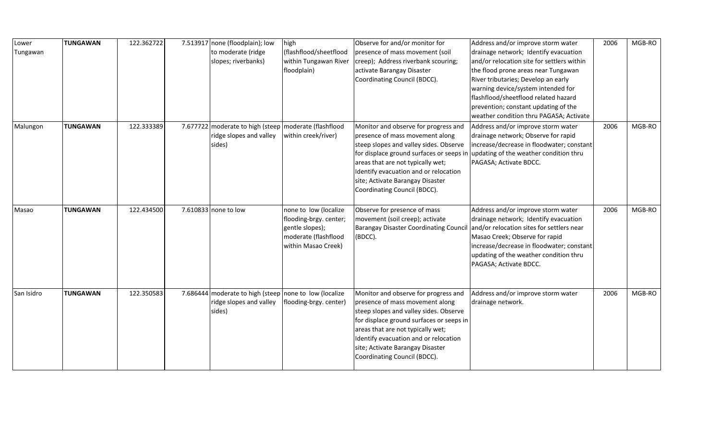| Lower      | <b>TUNGAWAN</b> | 122.362722 | 7.513917 none (floodplain); low                         | high                   | Observe for and/or monitor for                | Address and/or improve storm water         | 2006 | MGB-RO |
|------------|-----------------|------------|---------------------------------------------------------|------------------------|-----------------------------------------------|--------------------------------------------|------|--------|
| Tungawan   |                 |            | to moderate (ridge                                      | (flashflood/sheetflood | presence of mass movement (soil               | drainage network; Identify evacuation      |      |        |
|            |                 |            | slopes; riverbanks)                                     | within Tungawan River  | creep); Address riverbank scouring;           | and/or relocation site for settlers within |      |        |
|            |                 |            |                                                         | floodplain)            | activate Barangay Disaster                    | the flood prone areas near Tungawan        |      |        |
|            |                 |            |                                                         |                        | Coordinating Council (BDCC).                  | River tributaries; Develop an early        |      |        |
|            |                 |            |                                                         |                        |                                               | warning device/system intended for         |      |        |
|            |                 |            |                                                         |                        |                                               | flashflood/sheetflood related hazard       |      |        |
|            |                 |            |                                                         |                        |                                               | prevention; constant updating of the       |      |        |
|            |                 |            |                                                         |                        |                                               | weather condition thru PAGASA; Activate    |      |        |
| Malungon   | <b>TUNGAWAN</b> | 122.333389 | 7.677722 moderate to high (steep   moderate (flashflood |                        | Monitor and observe for progress and          | Address and/or improve storm water         | 2006 | MGB-RO |
|            |                 |            | ridge slopes and valley                                 | within creek/river)    | presence of mass movement along               | drainage network; Observe for rapid        |      |        |
|            |                 |            | sides)                                                  |                        | steep slopes and valley sides. Observe        | increase/decrease in floodwater; constant  |      |        |
|            |                 |            |                                                         |                        | for displace ground surfaces or seeps in      | updating of the weather condition thru     |      |        |
|            |                 |            |                                                         |                        | areas that are not typically wet;             | PAGASA; Activate BDCC.                     |      |        |
|            |                 |            |                                                         |                        | Identify evacuation and or relocation         |                                            |      |        |
|            |                 |            |                                                         |                        | site; Activate Barangay Disaster              |                                            |      |        |
|            |                 |            |                                                         |                        | Coordinating Council (BDCC).                  |                                            |      |        |
| Masao      | <b>TUNGAWAN</b> | 122.434500 | 7.610833 none to low                                    | none to low (localize  | Observe for presence of mass                  | Address and/or improve storm water         | 2006 | MGB-RO |
|            |                 |            |                                                         | flooding-brgy. center; | movement (soil creep); activate               | drainage network; Identify evacuation      |      |        |
|            |                 |            |                                                         | gentle slopes);        | <b>Barangay Disaster Coordinating Council</b> | and/or relocation sites for settlers near  |      |        |
|            |                 |            |                                                         | moderate (flashflood   | (BDCC).                                       | Masao Creek; Observe for rapid             |      |        |
|            |                 |            |                                                         | within Masao Creek)    |                                               | increase/decrease in floodwater; constant  |      |        |
|            |                 |            |                                                         |                        |                                               | updating of the weather condition thru     |      |        |
|            |                 |            |                                                         |                        |                                               | PAGASA; Activate BDCC.                     |      |        |
|            |                 |            |                                                         |                        |                                               |                                            |      |        |
|            |                 |            |                                                         |                        |                                               |                                            |      |        |
| San Isidro | <b>TUNGAWAN</b> | 122.350583 | 7.686444 moderate to high (steep none to low (localize  |                        | Monitor and observe for progress and          | Address and/or improve storm water         | 2006 | MGB-RO |
|            |                 |            | ridge slopes and valley                                 | flooding-brgy. center) | presence of mass movement along               | drainage network.                          |      |        |
|            |                 |            | sides)                                                  |                        | steep slopes and valley sides. Observe        |                                            |      |        |
|            |                 |            |                                                         |                        | for displace ground surfaces or seeps in      |                                            |      |        |
|            |                 |            |                                                         |                        | areas that are not typically wet;             |                                            |      |        |
|            |                 |            |                                                         |                        | Identify evacuation and or relocation         |                                            |      |        |
|            |                 |            |                                                         |                        | site; Activate Barangay Disaster              |                                            |      |        |
|            |                 |            |                                                         |                        | Coordinating Council (BDCC).                  |                                            |      |        |
|            |                 |            |                                                         |                        |                                               |                                            |      |        |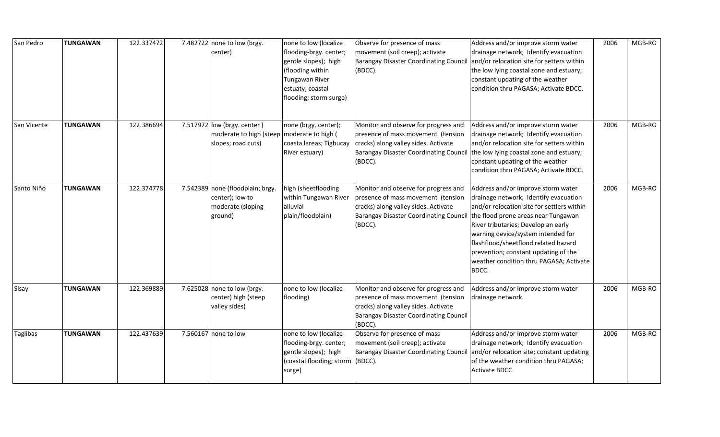| San Pedro   | <b>TUNGAWAN</b> | 122.337472 | 7.482722 none to low (brgy.<br>center)                                                            | none to low (localize<br>flooding-brgy. center;<br>gentle slopes); high<br>(flooding within<br>Tungawan River<br>estuaty; coastal<br>flooding; storm surge) | Observe for presence of mass<br>movement (soil creep); activate<br><b>Barangay Disaster Coordinating Council</b><br>(BDCC).                                                    | Address and/or improve storm water<br>drainage network; Identify evacuation<br>and/or relocation site for setters within<br>the low lying coastal zone and estuary;<br>constant updating of the weather<br>condition thru PAGASA; Activate BDCC.                                                                                                                                  | 2006 | MGB-RO |
|-------------|-----------------|------------|---------------------------------------------------------------------------------------------------|-------------------------------------------------------------------------------------------------------------------------------------------------------------|--------------------------------------------------------------------------------------------------------------------------------------------------------------------------------|-----------------------------------------------------------------------------------------------------------------------------------------------------------------------------------------------------------------------------------------------------------------------------------------------------------------------------------------------------------------------------------|------|--------|
| San Vicente | <b>TUNGAWAN</b> | 122.386694 | 7.517972 low (brgy. center)<br>moderate to high (steep   moderate to high (<br>slopes; road cuts) | none (brgy. center);<br>coasta lareas; Tigbucay<br>River estuary)                                                                                           | Monitor and observe for progress and<br>presence of mass movement (tension<br>cracks) along valley sides. Activate<br><b>Barangay Disaster Coordinating Council</b><br>(BDCC). | Address and/or improve storm water<br>drainage network; Identify evacuation<br>and/or relocation site for setters within<br>the low lying coastal zone and estuary;<br>constant updating of the weather<br>condition thru PAGASA; Activate BDCC.                                                                                                                                  | 2006 | MGB-RO |
| Santo Niño  | <b>TUNGAWAN</b> | 122.374778 | 7.542389 none (floodplain; brgy.<br>center); low to<br>moderate (sloping<br>ground)               | high (sheetflooding<br>within Tungawan River<br>alluvial<br>plain/floodplain)                                                                               | Monitor and observe for progress and<br>presence of mass movement (tension<br>cracks) along valley sides. Activate<br><b>Barangay Disaster Coordinating Council</b><br>(BDCC). | Address and/or improve storm water<br>drainage network; Identify evacuation<br>and/or relocation site for settlers within<br>the flood prone areas near Tungawan<br>River tributaries; Develop an early<br>warning device/system intended for<br>flashflood/sheetflood related hazard<br>prevention; constant updating of the<br>weather condition thru PAGASA; Activate<br>BDCC. | 2006 | MGB-RO |
| Sisay       | TUNGAWAN        | 122.369889 | 7.625028 none to low (brgy.<br>center) high (steep<br>valley sides)                               | none to low (localize<br>flooding)                                                                                                                          | Monitor and observe for progress and<br>presence of mass movement (tension<br>cracks) along valley sides. Activate<br><b>Barangay Disaster Coordinating Council</b><br>(BDCC). | Address and/or improve storm water<br>drainage network.                                                                                                                                                                                                                                                                                                                           | 2006 | MGB-RO |
| Taglibas    | <b>TUNGAWAN</b> | 122.437639 | 7.560167 none to low                                                                              | none to low (localize<br>flooding-brgy. center;<br>gentle slopes); high<br>(coastal flooding; storm<br>surge)                                               | Observe for presence of mass<br>movement (soil creep); activate<br><b>Barangay Disaster Coordinating Council</b><br>(BDCC).                                                    | Address and/or improve storm water<br>drainage network; Identify evacuation<br>and/or relocation site; constant updating<br>of the weather condition thru PAGASA;<br>Activate BDCC.                                                                                                                                                                                               | 2006 | MGB-RO |